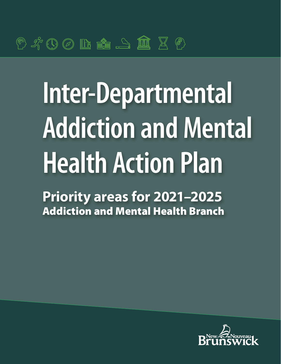# **Inter-Departmental Addiction and Mental Health Action Plan**

**Priority areas for 2021–2025** Addiction and Mental Health Branch

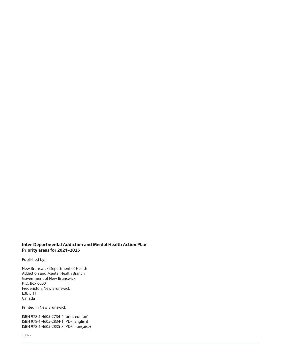#### **Inter-Departmental Addiction and Mental Health Action Plan Priority areas for 2021–2025**

Published by:

New Brunswick Department of Health Addiction and Mental Health Branch Government of New Brunswick P. O. Box 6000 Fredericton, New Brunswick E3B 5H1 Canada

Printed in New Brunswick

ISBN 978-1-4605-2734-4 (print edition) ISBN 978-1-4605-2834-1 (PDF: English) ISBN 978-1-4605-2835-8 (PDF: française)

13099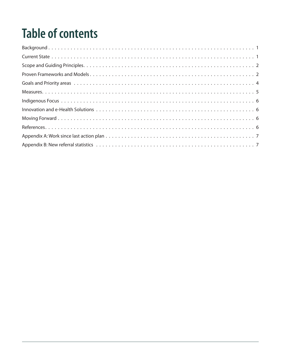## **Table of contents**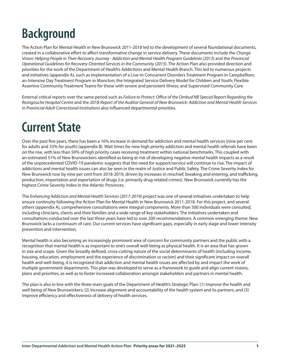## <span id="page-4-0"></span>**Background**

The Action Plan for Mental Health in New Brunswick 2011-2018 led to the development of several foundational documents, created in a collaborative effort to affect transformative change in service delivery. These documents include the *Change Vision: Helping People in Their Recovery Journey - Addiction and Mental Health Program Guidelines (2013*) and the *Provincial Operational Guidelines for Recovery-Oriented Services in the Community (2015*). The Action Plan also provided direction and priorities for the work of the Department of Health's Addictions and Mental Health Branch. This led to numerous projects and initiatives (appendix A), such as implementation of a Live-In Concurrent Disorders Treatment Program in Campbellton; an Intensive Day Treatment Program in Moncton; the Integrated Service Delivery Model for Children and Youth; Flexible Assertive Community Treatment Teams for those with severe and persistent illness; and Supervised Community Care.

External critical reports over the same period such as *Failure to Protect: Office of the Ombud NB Special Report Regarding the Restigouche Hospital Centre* and the 2018 *Report of the Auditor General of New Brunswick: Addiction and Mental Health Services in Provincial Adult Correctional Institutions* also influenced departmental priorities.

## **Current State**

Over the past five years, there has been a 16% increase in demand for addiction and mental health services (nine per cent for adults and 33% for youth) (appendix B). Wait times for new high priority addiction and mental health referrals have been on the rise, with less than 50% of high priority cases receiving treatment within national benchmarks. This coupled with an estimated 51% of New Brunswickers identified as being at risk of developing negative mental health impacts as a result of the unprecedented COVID-19 pandemic suggests that the need for support/service will continue to rise. The impact of addictions and mental health issues can also be seen in the realm of Justice and Public Safety. The Crime Severity Index for New Brunswick rose by nine per cent from 2018-2019, driven by increases in mischief, breaking and entering, and trafficking, production, importation and exportation of drugs (i.e. primarily drug-related crimes). New Brunswick currently has the highest Crime Severity Index in the Atlantic Provinces.

The *Enhancing Addiction and Mental Health Services (2017-2019*) project was one of several initiatives undertaken to help ensure continuity following the Action Plan for Mental Health in New Brunswick 2011-2018. For this project, and several others (appendix A), comprehensive consultations were integral components. More than 300 individuals were consulted, including clinicians, clients and their families and a wide range of key stakeholders. The initiatives undertaken and consultations conducted over the last three years have led to over 200 recommendations. A common emerging theme: New Brunswick lacks a continuum of care. Our current services have significant gaps, especially in early stage and lower intensity prevention and intervention.

Mental health is also becoming an increasingly prominent area of concern for community partners and the public with a recognition that mental health is as important to one's overall well-being as physical health. It is an area that has grown in size and scope. Given the broadly defined, cross-cutting nature of the social determinants of health (including income, housing, education, employment and the experience of discrimination or racism) and their significant impact on overall health and well-being, it is recognized that addiction and mental health issues are affected by and impact the work of multiple government departments. This plan was developed to serve as a framework to guide and align current visions, plans and priorities, as well as to foster increased collaboration amongst stakeholders and partners in mental health.

The plan is also in line with the three main goals of the Department of Health's Strategic Plan: (1) Improve the health and well being of New Brunswickers; (2) Increase alignment and accountability of the health system and its partners; and (3) Improve efficiency and effectiveness of delivery of health services.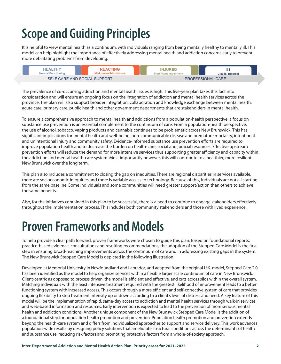## <span id="page-5-0"></span>**Scope and Guiding Principles**

It is helpful to view mental health as a continuum, with individuals ranging from being mentally healthy to mentally ill. This model can help highlight the importance of effectively addressing mental health and addiction concerns early to prevent more debilitating problems from developing.

|                              | <b>HEAI THY</b><br><b>Normal Functioning</b> | <b>REACTING</b><br>Mild, reversible distress |  | <b>INJURED</b><br><b>Significant impairment</b> | ILL<br><b>Clinical Disorder</b> |
|------------------------------|----------------------------------------------|----------------------------------------------|--|-------------------------------------------------|---------------------------------|
| SELF CARE AND SOCIAL SUPPORT |                                              |                                              |  |                                                 | <b>PROFESSIONAL CARE</b>        |

The prevalence of co-occurring addiction and mental health issues is high. This five-year plan takes this fact into consideration and will ensure an ongoing focus on the integration of addiction and mental health services across the province. The plan will also support broader integration, collaboration and knowledge exchange between mental health, acute care, primary care, public health and other government departments that are stakeholders in mental health.

To ensure a comprehensive approach to mental health and addictions from a population-health perspective, a focus on substance use prevention is an essential complement to the continuum of care. From a population-health perspective, the use of alcohol, tobacco, vaping products and cannabis continues to be problematic across New Brunswick. This has significant implications for mental health and well-being, non-communicable disease and premature mortality, intentional and unintentional injury and community safety. Evidence-informed substance use prevention efforts are required to improve population health and to decrease the burden on health-care, social and judicial resources. Effective upstream prevention efforts will reduce the demand for more intensive services thus supporting greater efficiency and capacity within the addiction and mental health-care system. Most importantly however, this will contribute to a healthier, more resilient New Brunswick over the long term.

This plan also includes a commitment to closing the gap on inequities. There are regional disparities in services available, there are socioeconomic inequities and there is variable access to technology. Because of this, individuals are not all starting 11 from the same baseline. Some individuals and some communities will need greater support/action than others to achieve the same benefits.

Also, for the initiatives contained in this plan to be successful, there is a need to continue to engage stakeholders effectively throughout the implementation process. This includes both community stakeholders and those with lived experience.

## **Proven Frameworks and Models**

To help provide a clear path forward, proven frameworks were chosen to guide this plan. Based on foundational reports, practice-based evidence, consultations and resulting recommendations, the adoption of the Stepped Care Model is the first step in ensuring broad-reaching improvements across the continuum of care and in addressing existing gaps in the system. The New Brunswick Stepped Care Model is depicted in the following illustration.

Developed at Memorial University in Newfoundland and Labrador, and adapted from the original U.K. model, Stepped Care 2.0 has been identified as the model to help organize services within a flexible larger scale continuum of care in New Brunswick. Client-centric as opposed to process driven, the model is efficient and effective, and cuts across silos within the overall system. Matching individuals with the least intensive treatment required with the greatest likelihood of improvement leads to a better functioning system with increased access. This occurs through a more efficient and self-corrective system of care that provides ongoing flexibility to step treatment intensity up or down according to a client's level of distress and need. A key feature of this model will be the implementation of rapid, same-day access to addiction and mental health services through walk-in services and web-based information and resources. Early intervention is expected to lead to the prevention of more serious mental health and addiction conditions. Another unique component of the New Brunswick Stepped Care Model is the addition of a foundational step for population health promotion and prevention. Population health promotion and prevention extends beyond the health-care system and differs from individualized approaches to support and service delivery. This work advances population-wide results by designing policy solutions that ameliorate structural conditions across the determinants of health and substance use, reducing risk factors and promoting protective factors from a whole-of-society approach.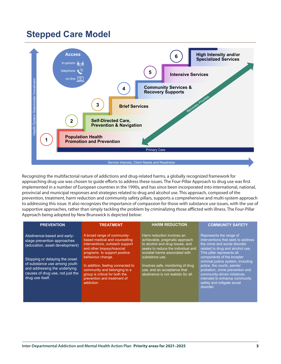#### **Stepped Care Model**



Recognizing the multifactorial nature of addictions and drug-related harms, a globally recognized framework for approaching drug use was chosen to guide efforts to address these issues. The Four-Pillar Approach to drug use was first implemented in a number of European countries in the 1990s, and has since been incorporated into international, national, provincial and municipal responses and strategies related to drug and alcohol use. This approach, composed of the prevention, treatment, harm reduction and community safety pillars, supports a comprehensive and multi-system approach to addressing this issue. It also recognizes the importance of compassion for those with substance use issues, with the use of supportive approaches, rather than simply tackling the problem by criminalizing those afflicted with illness. The Four-Pillar Approach being adopted by New Brunswick is depicted below:

| <b>PREVENTION</b>                                                                                                                                                                                                                                       | <b>TREATMENT</b>                                                                                                                                                                                                                                                                                                                      | <b>HARM REDUCTION</b>                                                                                                                                                                                                                                                                                 | <b>COMMUNITY SAFETY</b>                                                                                                                                                                                                                                                                                                                                                                                           |
|---------------------------------------------------------------------------------------------------------------------------------------------------------------------------------------------------------------------------------------------------------|---------------------------------------------------------------------------------------------------------------------------------------------------------------------------------------------------------------------------------------------------------------------------------------------------------------------------------------|-------------------------------------------------------------------------------------------------------------------------------------------------------------------------------------------------------------------------------------------------------------------------------------------------------|-------------------------------------------------------------------------------------------------------------------------------------------------------------------------------------------------------------------------------------------------------------------------------------------------------------------------------------------------------------------------------------------------------------------|
| Abstinence-based and early-<br>stage prevention approaches<br>(education, asset development)<br>Stopping or delaying the onset<br>of substance use among youth<br>and addressing the underlying<br>causes of drug use, not just the<br>drug use itself. | A broad range of community-<br>based medical and counselling<br>interventions, outreach support<br>and other biopsychosocial<br>programs to support positive<br>behaviour change.<br>In addition, feeling connected to<br>community and belonging to a<br>group is critical for both the<br>prevention and treatment of<br>addiction. | Harm reduction involves an<br>achievable, pragmatic approach<br>to alcohol and drug issues, and<br>seeks to reduce the individual and<br>societal harms associated with<br>substance use.<br>Involves safe, monitoring of drug<br>use, and an acceptance that<br>abstinence is not realistic for all. | Represents the range of<br>interventions that seek to address<br>the crime and social disorder<br>related to drug and alcohol use.<br>This pillar represents all<br>components of the broader<br>criminal justice system, including<br>police, the courts, parole/<br>probation, crime prevention and<br>community-driven initiatives<br>intended to enhance community<br>safety and mitigate social<br>disorder. |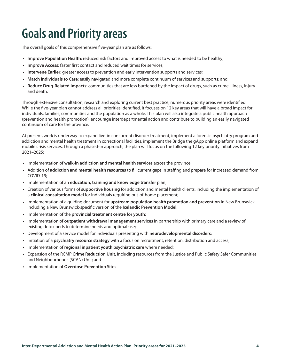## <span id="page-7-0"></span>**Goals and Priority areas**

The overall goals of this comprehensive five-year plan are as follows:

- **Improve Population Health**: reduced risk factors and improved access to what is needed to be healthy;
- **Improve Access**: faster first contact and reduced wait times for services;
- **Intervene Earlier**: greater access to prevention and early intervention supports and services;
- **Match Individuals to Care**: easily navigated and more complete continuum of services and supports; and
- **Reduce Drug-Related Impacts**: communities that are less burdened by the impact of drugs, such as crime, illness, injury and death.

Through extensive consultation, research and exploring current best practice, numerous priority areas were identified. While the five-year plan cannot address all priorities identified, it focuses on 12 key areas that will have a broad impact for individuals, families, communities and the population as a whole. This plan will also integrate a public health approach (prevention and health promotion), encourage interdepartmental action and contribute to building an easily navigated continuum of care for the province.

At present, work is underway to expand live-in concurrent disorder treatment, implement a forensic psychiatry program and addiction and mental health treatment in correctional facilities, implement the Bridge the gApp online platform and expand mobile crisis services. Through a phased-in approach, the plan will focus on the following 12 key priority initiatives from 2021–2025:

- Implementation of **walk-in addiction and mental health services** across the province;
- Addition of **addiction and mental health resources** to fill current gaps in staffing and prepare for increased demand from COVID-19;
- Implementation of an **education, training and knowledge transfer** plan;
- Creation of various forms of **supportive housing** for addiction and mental health clients, including the implementation of a **clinical consultation model** for individuals requiring out-of-home placement;
- Implementation of a guiding document for **upstream population health promotion and prevention** in New Brunswick, including a New Brunswick-specific version of the **Icelandic Prevention Model**;
- Implementation of the **provincial treatment centre for youth**;
- Implementation of **outpatient withdrawal management services** in partnership with primary care and a review of existing detox beds to determine needs and optimal use;
- Development of a service model for individuals presenting with **neurodevelopmental disorders**;
- Initiation of a **psychiatry resource strategy** with a focus on recruitment, retention, distribution and access;
- Implementation of **regional inpatient youth psychiatric care** where needed;
- Expansion of the RCMP **Crime Reduction Unit**, including resources from the Justice and Public Safety Safer Communities and Neighbourhoods (SCAN) Unit; and
- Implementation of **Overdose Prevention Sites**.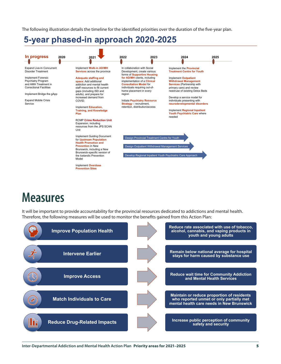<span id="page-8-0"></span>The following illustration details the timeline for the identified priorities over the duration of the five-year plan.

### **5-year phased-in approach 2020-2025**



## **Measures**

It will be important to provide accountability for the provincial resources dedicated to addictions and mental health. Therefore, the following measures will be used to monitor the benefits gained from this Action Plan:

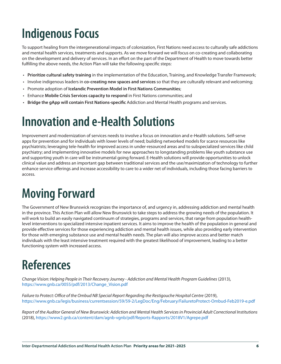## <span id="page-9-0"></span>**Indigenous Focus**

To support healing from the intergenerational impacts of colonization, First Nations need access to culturally safe addictions and mental health services, treatments and supports. As we move forward we will focus on co-creating and collaborating on the development and delivery of services. In an effort on the part of the Department of Health to move towards better fulfilling the above needs, the Action Plan will take the following specific steps:

- **Prioritize cultural safety training** in the implementation of the Education, Training, and Knowledge Transfer Framework;
- Involve indigenous leaders in **co-creating new spaces and services** so that they are culturally relevant and welcoming;
- Promote adoption of **Icelandic Prevention Model in First Nations Communities**;
- Enhance **Mobile Crisis Services capacity to respond** in First Nations communities; and
- **Bridge the gApp will contain First Nations-specific** Addiction and Mental Health programs and services.

## **Innovation and e-Health Solutions**

Improvement and modernization of services needs to involve a focus on innovation and e-Health solutions. Self-serve apps for prevention and for individuals with lower levels of need; building networked models for scarce resources like psychiatrists; leveraging tele-health for improved access in under-resourced areas and to subspecialized services like child psychiatry; and implementing innovative models for new approaches to longstanding problems like youth substance use and supporting youth in care will be instrumental going forward. E-Health solutions will provide opportunities to unlock clinical value and address an important gap between traditional services and the use/maximization of technology to further enhance service offerings and increase accessibility to care to a wider net of individuals, including those facing barriers to access.

## **Moving Forward**

The Government of New Brunswick recognizes the importance of, and urgency in, addressing addiction and mental health in the province. This Action Plan will allow New Brunswick to take steps to address the growing needs of the population. It will work to build an easily navigated continuum of strategies, programs and services, that range from population healthlevel interventions to specialized intensive inpatient services. It aims to improve the health of the population in general and provide effective services for those experiencing addiction and mental health issues, while also providing early intervention for those with emerging substance use and mental health needs. The plan will also improve access and better match individuals with the least intensive treatment required with the greatest likelihood of improvement, leading to a better functioning system with increased access.

## **References**

*Change Vision: Helping People in Their Recovery Journey - Addiction and Mental Health Program Guidelines* (2013), [https://www.gnb.ca/0055/pdf/2013/Change\\_Vision.pdf](https://www.gnb.ca/0055/pdf/2013/Change_Vision.pdf)

*Failure to Protect: Office of the Ombud NB Special Report Regarding the Restigouche Hospital Centre* (2019), <https://www.gnb.ca/legis/business/currentsession/59/59-2/LegDoc/Eng/February/FailuretoProtect-Ombud-Feb2019-e.pdf>

*Report of the Auditor General of New Brunswick: Addiction and Mental Health Services in Provincial Adult Correctional Institutions* (2018),<https://www2.gnb.ca/content/dam/agnb-vgnb/pdf/Reports-Rapports/2018V1/Agrepe.pdf>